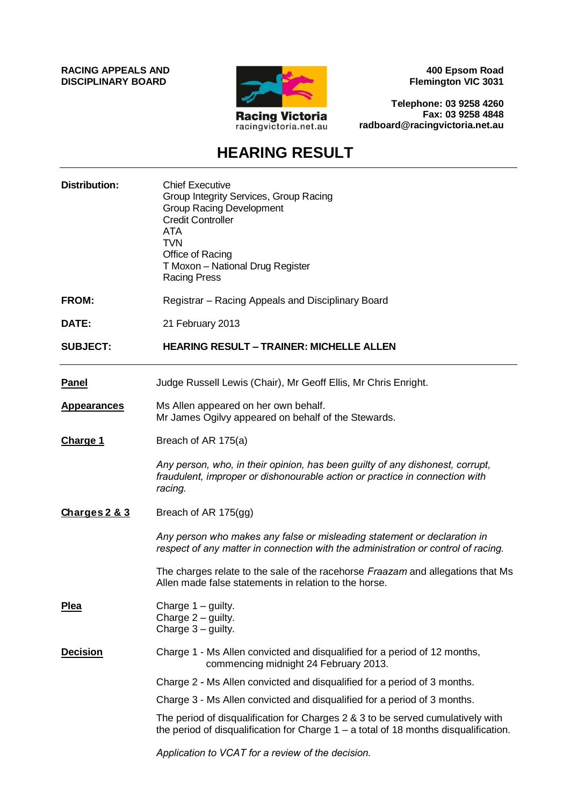**RACING APPEALS AND DISCIPLINARY BOARD**



**400 Epsom Road Flemington VIC 3031**

**Telephone: 03 9258 4260 Fax: 03 9258 4848 radboard@racingvictoria.net.au**

# **HEARING RESULT**

| <b>Distribution:</b> | <b>Chief Executive</b><br>Group Integrity Services, Group Racing<br><b>Group Racing Development</b><br><b>Credit Controller</b><br><b>ATA</b><br><b>TVN</b><br>Office of Racing<br>T Moxon - National Drug Register<br><b>Racing Press</b> |
|----------------------|--------------------------------------------------------------------------------------------------------------------------------------------------------------------------------------------------------------------------------------------|
| FROM:                | Registrar - Racing Appeals and Disciplinary Board                                                                                                                                                                                          |
| DATE:                | 21 February 2013                                                                                                                                                                                                                           |
| <b>SUBJECT:</b>      | <b>HEARING RESULT – TRAINER: MICHELLE ALLEN</b>                                                                                                                                                                                            |
| <b>Panel</b>         | Judge Russell Lewis (Chair), Mr Geoff Ellis, Mr Chris Enright.                                                                                                                                                                             |
| <b>Appearances</b>   | Ms Allen appeared on her own behalf.<br>Mr James Ogilvy appeared on behalf of the Stewards.                                                                                                                                                |
| <b>Charge 1</b>      | Breach of AR 175(a)                                                                                                                                                                                                                        |
|                      | Any person, who, in their opinion, has been guilty of any dishonest, corrupt,<br>fraudulent, improper or dishonourable action or practice in connection with<br>racing.                                                                    |
| Charges 2 & 3        | Breach of AR 175(gg)                                                                                                                                                                                                                       |
|                      | Any person who makes any false or misleading statement or declaration in<br>respect of any matter in connection with the administration or control of racing.                                                                              |
|                      | The charges relate to the sale of the racehorse Fraazam and allegations that Ms<br>Allen made false statements in relation to the horse.                                                                                                   |
| <u>Plea</u>          | Charge 1 - guilty.<br>Charge $2$ – guilty.<br>Charge $3 -$ guilty.                                                                                                                                                                         |
| <b>Decision</b>      | Charge 1 - Ms Allen convicted and disqualified for a period of 12 months,<br>commencing midnight 24 February 2013.                                                                                                                         |
|                      | Charge 2 - Ms Allen convicted and disqualified for a period of 3 months.                                                                                                                                                                   |
|                      | Charge 3 - Ms Allen convicted and disqualified for a period of 3 months.                                                                                                                                                                   |
|                      | The period of disqualification for Charges 2 & 3 to be served cumulatively with<br>the period of disqualification for Charge $1 - a$ total of 18 months disqualification.                                                                  |
|                      | Application to VCAT for a review of the decision.                                                                                                                                                                                          |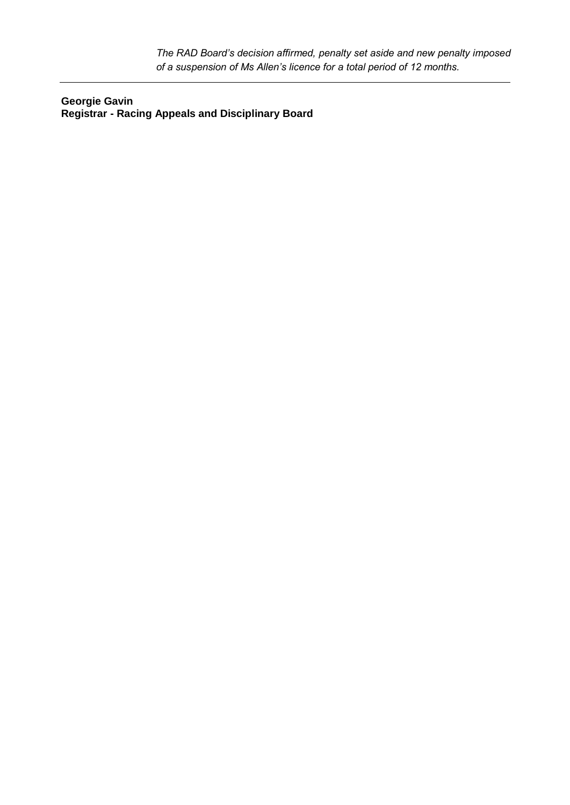*The RAD Board's decision affirmed, penalty set aside and new penalty imposed of a suspension of Ms Allen's licence for a total period of 12 months.*

**Georgie Gavin Registrar - Racing Appeals and Disciplinary Board**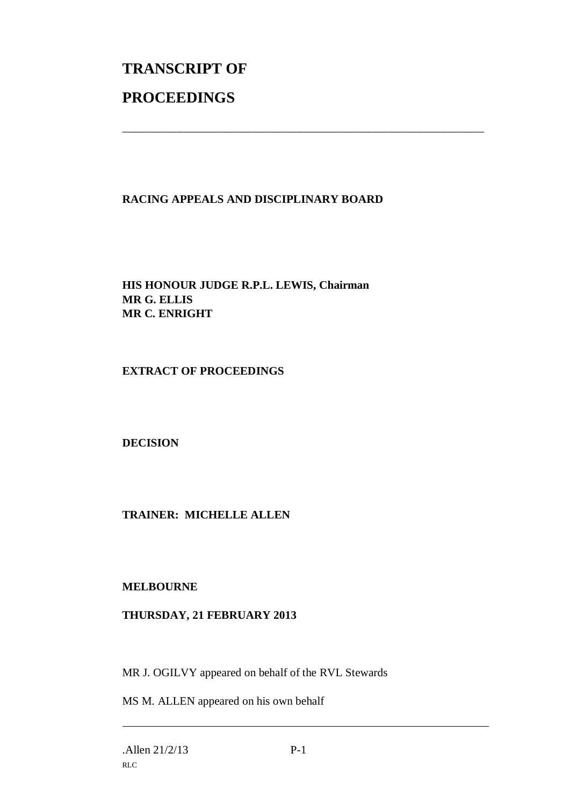# **TRANSCRIPT OF PROCEEDINGS**

## **RACING APPEALS AND DISCIPLINARY BOARD**

\_\_\_\_\_\_\_\_\_\_\_\_\_\_\_\_\_\_\_\_\_\_\_\_\_\_\_\_\_\_\_\_\_\_\_\_\_\_\_\_\_\_\_\_\_\_\_\_\_\_\_\_\_\_\_\_\_\_\_\_\_\_\_

**HIS HONOUR JUDGE R.P.L. LEWIS, Chairman MR G. ELLIS MR C. ENRIGHT** 

**EXTRACT OF PROCEEDINGS** 

**DECISION** 

**TRAINER: MICHELLE ALLEN** 

**MELBOURNE** 

### **THURSDAY, 21 FEBRUARY 2013**

MR J. OGILVY appeared on behalf of the RVL Stewards

MS M. ALLEN appeared on his own behalf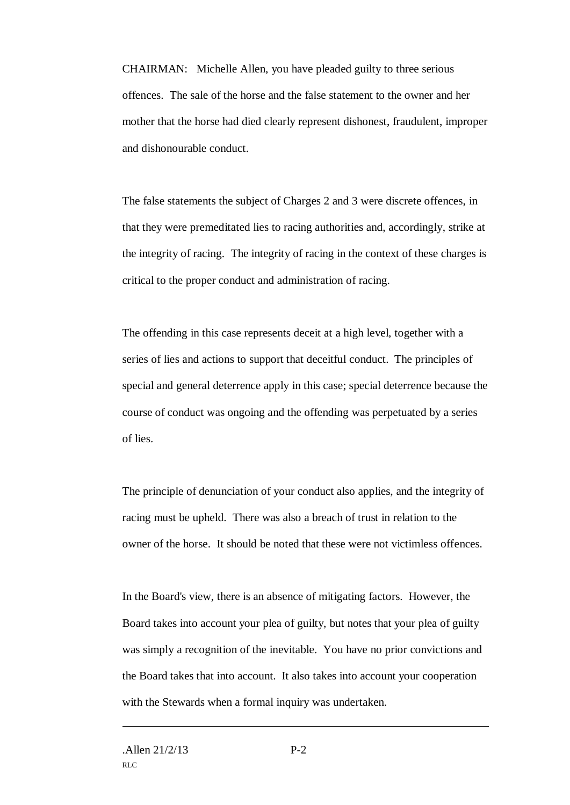CHAIRMAN: Michelle Allen, you have pleaded guilty to three serious offences. The sale of the horse and the false statement to the owner and her mother that the horse had died clearly represent dishonest, fraudulent, improper and dishonourable conduct.

The false statements the subject of Charges 2 and 3 were discrete offences, in that they were premeditated lies to racing authorities and, accordingly, strike at the integrity of racing. The integrity of racing in the context of these charges is critical to the proper conduct and administration of racing.

The offending in this case represents deceit at a high level, together with a series of lies and actions to support that deceitful conduct. The principles of special and general deterrence apply in this case; special deterrence because the course of conduct was ongoing and the offending was perpetuated by a series of lies.

The principle of denunciation of your conduct also applies, and the integrity of racing must be upheld. There was also a breach of trust in relation to the owner of the horse. It should be noted that these were not victimless offences.

In the Board's view, there is an absence of mitigating factors. However, the Board takes into account your plea of guilty, but notes that your plea of guilty was simply a recognition of the inevitable. You have no prior convictions and the Board takes that into account. It also takes into account your cooperation with the Stewards when a formal inquiry was undertaken.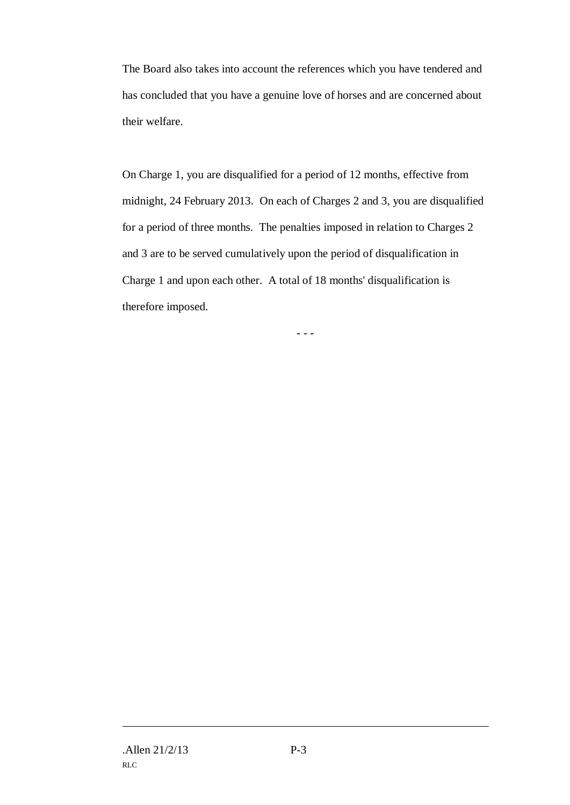The Board also takes into account the references which you have tendered and has concluded that you have a genuine love of horses and are concerned about their welfare.

On Charge 1, you are disqualified for a period of 12 months, effective from midnight, 24 February 2013. On each of Charges 2 and 3, you are disqualified for a period of three months. The penalties imposed in relation to Charges 2 and 3 are to be served cumulatively upon the period of disqualification in Charge 1 and upon each other. A total of 18 months' disqualification is therefore imposed.

- - -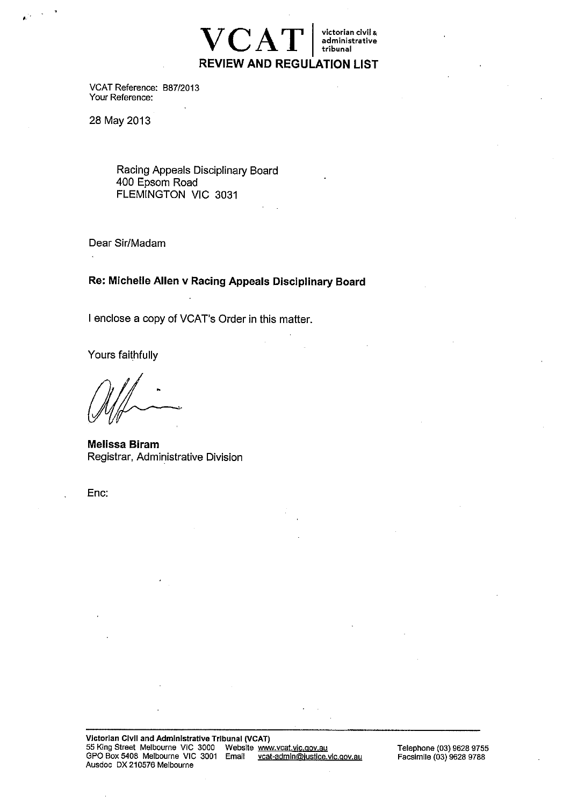

VCAT Reference: B87/2013 Your Reference:

28 May 2013

Racing Appeals Disciplinary Board 400 Epsom Road FLEMINGTON VIC 3031

Dear Sir/Madam

Re: Michelle Allen v Racing Appeals Disciplinary Board

I enclose a copy of VCAT's Order in this matter.

Yours faithfully

**Melissa Biram** Registrar, Administrative Division

Enc: